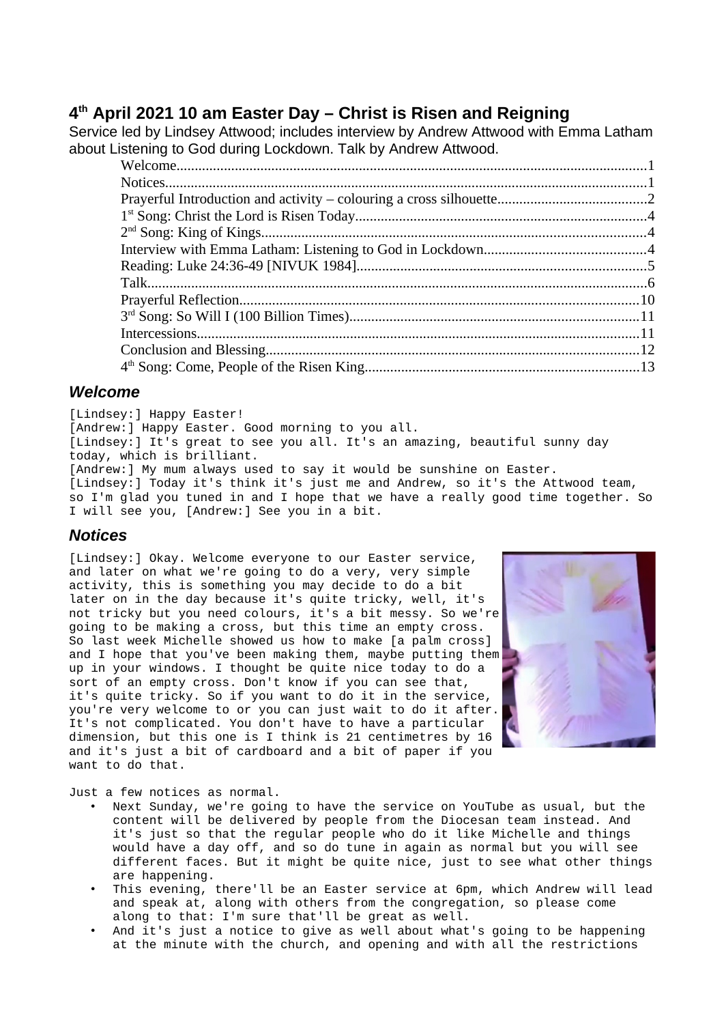# **4 th April 2021 10 am Easter Day – Christ is Risen and Reigning**

Service led by Lindsey Attwood; includes interview by Andrew Attwood with Emma Latham about Listening to God during Lockdown. Talk by Andrew Attwood.

## <span id="page-0-1"></span>*Welcome*

[Lindsey:] Happy Easter! [Andrew:] Happy Easter. Good morning to you all. [Lindsey:] It's great to see you all. It's an amazing, beautiful sunny day today, which is brilliant. [Andrew:] My mum always used to say it would be sunshine on Easter. [Lindsey:] Today it's think it's just me and Andrew, so it's the Attwood team, so I'm glad you tuned in and I hope that we have a really good time together. So I will see you, [Andrew:] See you in a bit.

## <span id="page-0-0"></span>*Notices*

[Lindsey:] Okay. Welcome everyone to our Easter service, and later on what we're going to do a very, very simple activity, this is something you may decide to do a bit later on in the day because it's quite tricky, well, it's not tricky but you need colours, it's a bit messy. So we're going to be making a cross, but this time an empty cross. So last week Michelle showed us how to make [a palm cross] and I hope that you've been making them, maybe putting them up in your windows. I thought be quite nice today to do a sort of an empty cross. Don't know if you can see that, it's quite tricky. So if you want to do it in the service, you're very welcome to or you can just wait to do it after. It's not complicated. You don't have to have a particular dimension, but this one is I think is 21 centimetres by 16 and it's just a bit of cardboard and a bit of paper if you want to do that.



Just a few notices as normal.

- Next Sunday, we're going to have the service on YouTube as usual, but the content will be delivered by people from the Diocesan team instead. And it's just so that the regular people who do it like Michelle and things would have a day off, and so do tune in again as normal but you will see different faces. But it might be quite nice, just to see what other things are happening.
- This evening, there'll be an Easter service at 6pm, which Andrew will lead and speak at, along with others from the congregation, so please come along to that: I'm sure that'll be great as well.
- And it's just a notice to give as well about what's going to be happening at the minute with the church, and opening and with all the restrictions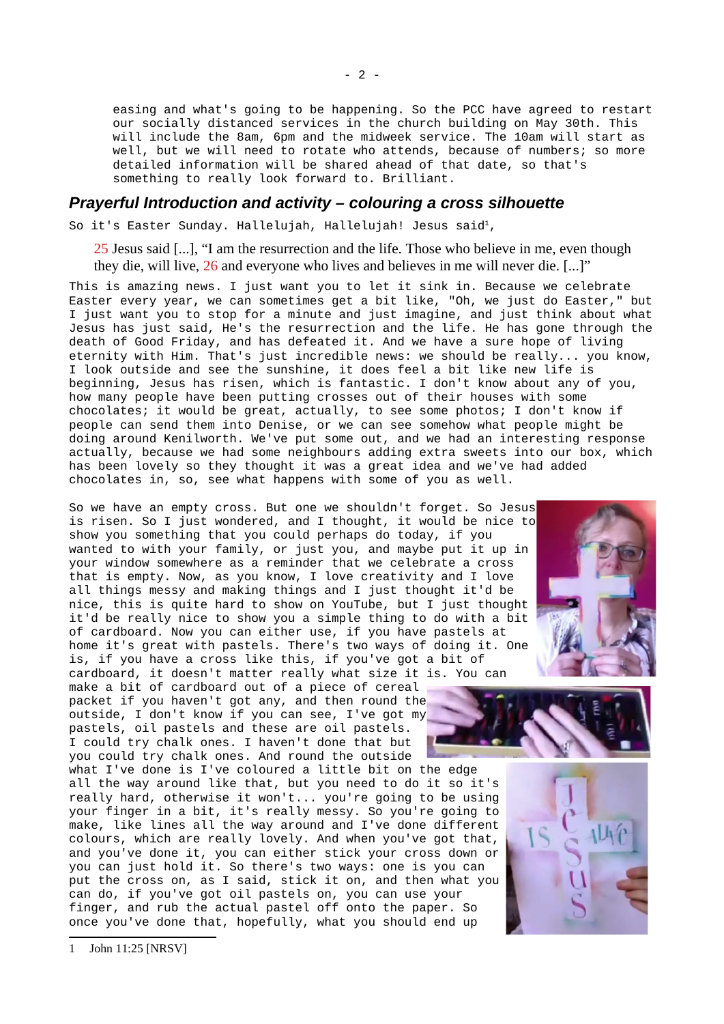easing and what's going to be happening. So the PCC have agreed to restart our socially distanced services in the church building on May 30th. This will include the 8am, 6pm and the midweek service. The 10am will start as well, but we will need to rotate who attends, because of numbers; so more detailed information will be shared ahead of that date, so that's something to really look forward to. Brilliant.

### <span id="page-1-0"></span>*Prayerful Introduction and activity – colouring a cross silhouette*

So it's Easter Sunday. Hallelujah, Hallelujah! Jesus said<sup>[1](#page-1-1)</sup>,

25 Jesus said [...], "I am the resurrection and the life. Those who believe in me, even though they die, will live, 26 and everyone who lives and believes in me will never die. [...]"

This is amazing news. I just want you to let it sink in. Because we celebrate Easter every year, we can sometimes get a bit like, "Oh, we just do Easter," but I just want you to stop for a minute and just imagine, and just think about what Jesus has just said, He's the resurrection and the life. He has gone through the death of Good Friday, and has defeated it. And we have a sure hope of living eternity with Him. That's just incredible news: we should be really... you know, I look outside and see the sunshine, it does feel a bit like new life is beginning, Jesus has risen, which is fantastic. I don't know about any of you, how many people have been putting crosses out of their houses with some chocolates; it would be great, actually, to see some photos; I don't know if people can send them into Denise, or we can see somehow what people might be doing around Kenilworth. We've put some out, and we had an interesting response actually, because we had some neighbours adding extra sweets into our box, which has been lovely so they thought it was a great idea and we've had added chocolates in, so, see what happens with some of you as well.

So we have an empty cross. But one we shouldn't forget. So Jesus is risen. So I just wondered, and I thought, it would be nice to show you something that you could perhaps do today, if you wanted to with your family, or just you, and maybe put it up in your window somewhere as a reminder that we celebrate a cross that is empty. Now, as you know, I love creativity and I love all things messy and making things and I just thought it'd be nice, this is quite hard to show on YouTube, but I just thought it'd be really nice to show you a simple thing to do with a bit of cardboard. Now you can either use, if you have pastels at home it's great with pastels. There's two ways of doing it. One is, if you have a cross like this, if you've got a bit of cardboard, it doesn't matter really what size it is. You can

make a bit of cardboard out of a piece of cereal packet if you haven't got any, and then round the outside, I don't know if you can see, I've got my pastels, oil pastels and these are oil pastels. I could try chalk ones. I haven't done that but you could try chalk ones. And round the outside

<span id="page-1-1"></span>what I've done is I've coloured a little bit on the edge all the way around like that, but you need to do it so it's really hard, otherwise it won't... you're going to be using your finger in a bit, it's really messy. So you're going to make, like lines all the way around and I've done different colours, which are really lovely. And when you've got that, and you've done it, you can either stick your cross down or you can just hold it. So there's two ways: one is you can put the cross on, as I said, stick it on, and then what you can do, if you've got oil pastels on, you can use your finger, and rub the actual pastel off onto the paper. So once you've done that, hopefully, what you should end up



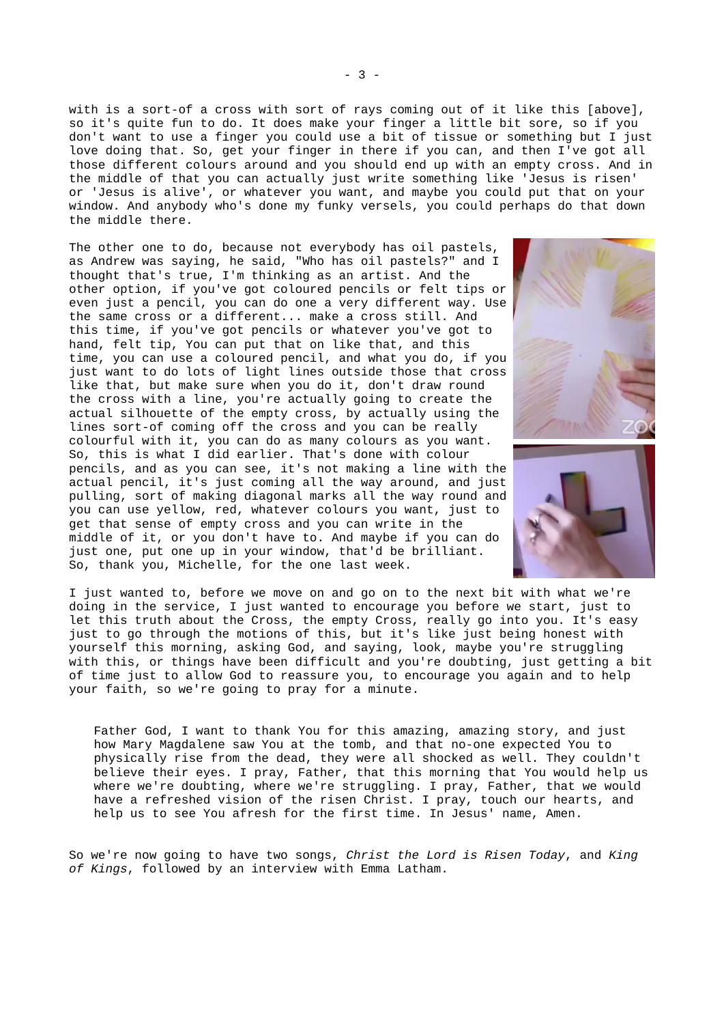with is a sort-of a cross with sort of rays coming out of it like this [above], so it's quite fun to do. It does make your finger a little bit sore, so if you don't want to use a finger you could use a bit of tissue or something but I just love doing that. So, get your finger in there if you can, and then I've got all those different colours around and you should end up with an empty cross. And in the middle of that you can actually just write something like 'Jesus is risen' or 'Jesus is alive', or whatever you want, and maybe you could put that on your window. And anybody who's done my funky versels, you could perhaps do that down the middle there.

The other one to do, because not everybody has oil pastels, as Andrew was saying, he said, "Who has oil pastels?" and I thought that's true, I'm thinking as an artist. And the other option, if you've got coloured pencils or felt tips or even just a pencil, you can do one a very different way. Use the same cross or a different... make a cross still. And this time, if you've got pencils or whatever you've got to hand, felt tip, You can put that on like that, and this time, you can use a coloured pencil, and what you do, if you just want to do lots of light lines outside those that cross like that, but make sure when you do it, don't draw round the cross with a line, you're actually going to create the actual silhouette of the empty cross, by actually using the lines sort-of coming off the cross and you can be really colourful with it, you can do as many colours as you want. So, this is what I did earlier. That's done with colour pencils, and as you can see, it's not making a line with the actual pencil, it's just coming all the way around, and just pulling, sort of making diagonal marks all the way round and you can use yellow, red, whatever colours you want, just to get that sense of empty cross and you can write in the middle of it, or you don't have to. And maybe if you can do just one, put one up in your window, that'd be brilliant. So, thank you, Michelle, for the one last week.





I just wanted to, before we move on and go on to the next bit with what we're doing in the service, I just wanted to encourage you before we start, just to let this truth about the Cross, the empty Cross, really go into you. It's easy just to go through the motions of this, but it's like just being honest with yourself this morning, asking God, and saying, look, maybe you're struggling with this, or things have been difficult and you're doubting, just getting a bit of time just to allow God to reassure you, to encourage you again and to help your faith, so we're going to pray for a minute.

Father God, I want to thank You for this amazing, amazing story, and just how Mary Magdalene saw You at the tomb, and that no-one expected You to physically rise from the dead, they were all shocked as well. They couldn't believe their eyes. I pray, Father, that this morning that You would help us where we're doubting, where we're struggling. I pray, Father, that we would have a refreshed vision of the risen Christ. I pray, touch our hearts, and help us to see You afresh for the first time. In Jesus' name, Amen.

So we're now going to have two songs, *Christ the Lord is Risen Today*, and *King of Kings*, followed by an interview with Emma Latham.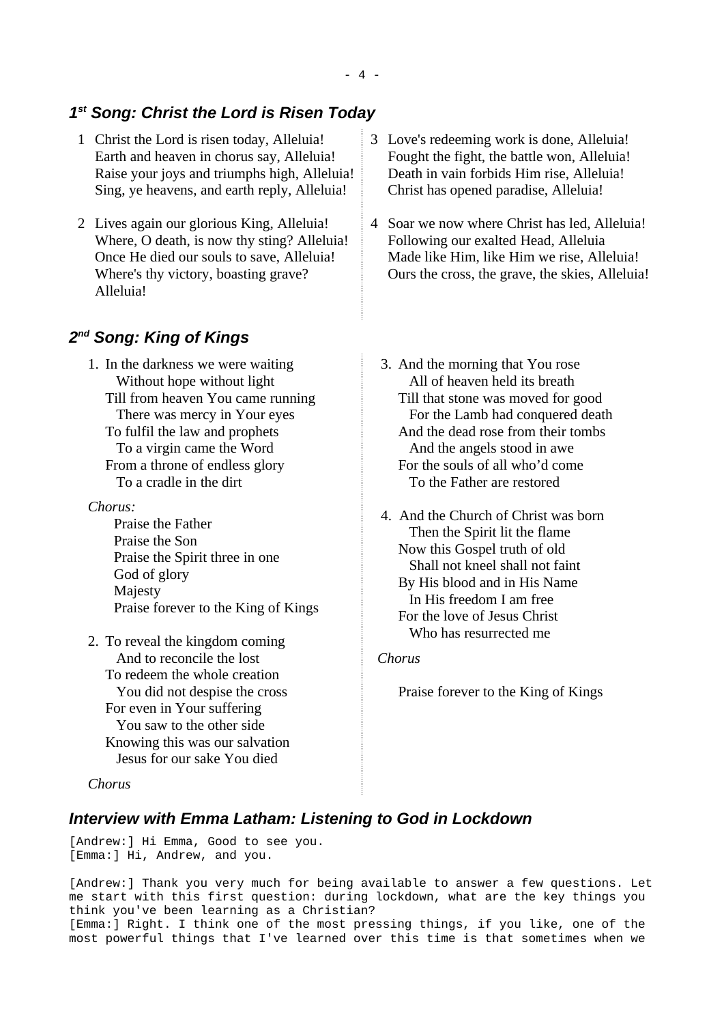# <span id="page-3-2"></span>*1 st Song: Christ the Lord is Risen Today*

- 1 Christ the Lord is risen today, Alleluia! Earth and heaven in chorus say, Alleluia! Raise your joys and triumphs high, Alleluia! Sing, ye heavens, and earth reply, Alleluia!
- 2 Lives again our glorious King, Alleluia! Where, O death, is now thy sting? Alleluia! Once He died our souls to save, Alleluia! Where's thy victory, boasting grave? Alleluia!

# <span id="page-3-1"></span>*2 nd Song: King of Kings*

1. In the darkness we were waiting Without hope without light Till from heaven You came running There was mercy in Your eyes To fulfil the law and prophets To a virgin came the Word From a throne of endless glory To a cradle in the dirt

## *Chorus:*

- Praise the Father Praise the Son Praise the Spirit three in one God of glory Majesty Praise forever to the King of Kings
- 2. To reveal the kingdom coming And to reconcile the lost To redeem the whole creation You did not despise the cross For even in Your suffering You saw to the other side Knowing this was our salvation Jesus for our sake You died

## 3 Love's redeeming work is done, Alleluia! Fought the fight, the battle won, Alleluia! Death in vain forbids Him rise, Alleluia! Christ has opened paradise, Alleluia!

- 4 Soar we now where Christ has led, Alleluia! Following our exalted Head, Alleluia Made like Him, like Him we rise, Alleluia! Ours the cross, the grave, the skies, Alleluia!
	- 3. And the morning that You rose All of heaven held its breath Till that stone was moved for good For the Lamb had conquered death And the dead rose from their tombs And the angels stood in awe For the souls of all who'd come To the Father are restored
	- 4. And the Church of Christ was born Then the Spirit lit the flame Now this Gospel truth of old Shall not kneel shall not faint By His blood and in His Name In His freedom I am free For the love of Jesus Christ Who has resurrected me

### *Chorus*

Praise forever to the King of Kings

### *Chorus*

# <span id="page-3-0"></span>*Interview with Emma Latham: Listening to God in Lockdown*

[Andrew:] Hi Emma, Good to see you. [Emma:] Hi, Andrew, and you.

[Andrew:] Thank you very much for being available to answer a few questions. Let me start with this first question: during lockdown, what are the key things you think you've been learning as a Christian? [Emma:] Right. I think one of the most pressing things, if you like, one of the most powerful things that I've learned over this time is that sometimes when we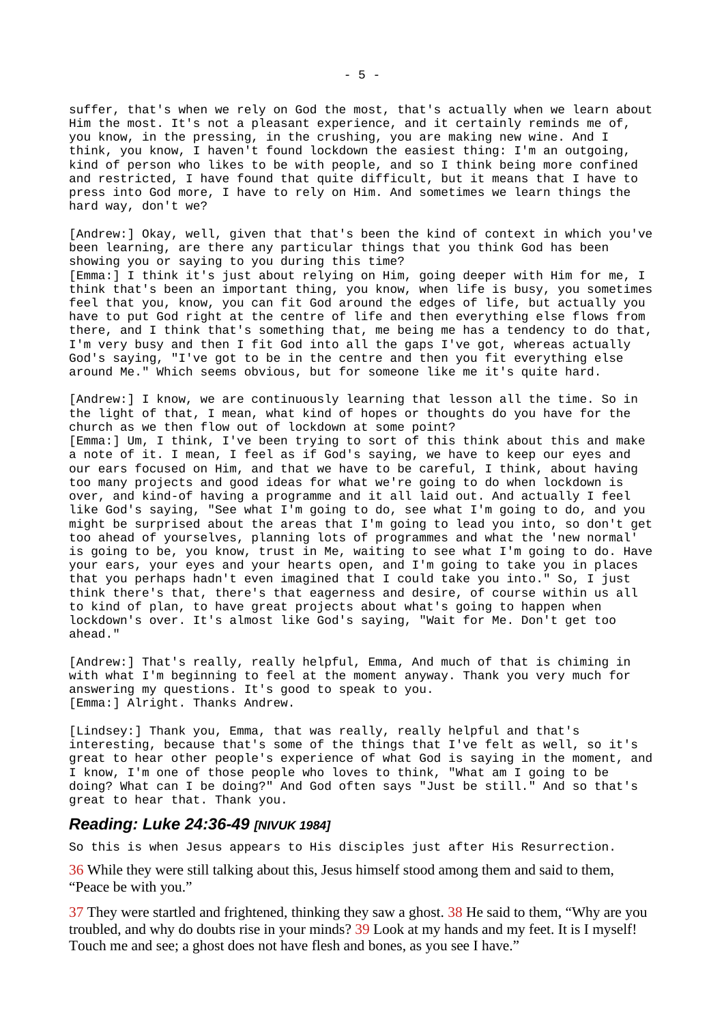suffer, that's when we rely on God the most, that's actually when we learn about Him the most. It's not a pleasant experience, and it certainly reminds me of, you know, in the pressing, in the crushing, you are making new wine. And I think, you know, I haven't found lockdown the easiest thing: I'm an outgoing, kind of person who likes to be with people, and so I think being more confined and restricted, I have found that quite difficult, but it means that I have to press into God more, I have to rely on Him. And sometimes we learn things the hard way, don't we?

[Andrew:] Okay, well, given that that's been the kind of context in which you've been learning, are there any particular things that you think God has been showing you or saying to you during this time? [Emma:] I think it's just about relying on Him, going deeper with Him for me, I think that's been an important thing, you know, when life is busy, you sometimes feel that you, know, you can fit God around the edges of life, but actually you have to put God right at the centre of life and then everything else flows from there, and I think that's something that, me being me has a tendency to do that, I'm very busy and then I fit God into all the gaps I've got, whereas actually God's saying, "I've got to be in the centre and then you fit everything else around Me." Which seems obvious, but for someone like me it's quite hard.

[Andrew:] I know, we are continuously learning that lesson all the time. So in the light of that, I mean, what kind of hopes or thoughts do you have for the church as we then flow out of lockdown at some point? [Emma:] Um, I think, I've been trying to sort of this think about this and make a note of it. I mean, I feel as if God's saying, we have to keep our eyes and our ears focused on Him, and that we have to be careful, I think, about having too many projects and good ideas for what we're going to do when lockdown is over, and kind-of having a programme and it all laid out. And actually I feel like God's saying, "See what I'm going to do, see what I'm going to do, and you might be surprised about the areas that I'm going to lead you into, so don't get too ahead of yourselves, planning lots of programmes and what the 'new normal' is going to be, you know, trust in Me, waiting to see what I'm going to do. Have your ears, your eyes and your hearts open, and I'm going to take you in places that you perhaps hadn't even imagined that I could take you into." So, I just think there's that, there's that eagerness and desire, of course within us all to kind of plan, to have great projects about what's going to happen when lockdown's over. It's almost like God's saying, "Wait for Me. Don't get too ahead."

[Andrew:] That's really, really helpful, Emma, And much of that is chiming in with what I'm beginning to feel at the moment anyway. Thank you very much for answering my questions. It's good to speak to you. [Emma:] Alright. Thanks Andrew.

[Lindsey:] Thank you, Emma, that was really, really helpful and that's interesting, because that's some of the things that I've felt as well, so it's great to hear other people's experience of what God is saying in the moment, and I know, I'm one of those people who loves to think, "What am I going to be doing? What can I be doing?" And God often says "Just be still." And so that's great to hear that. Thank you.

### <span id="page-4-0"></span>*Reading: Luke 24:36-49 [NIVUK 1984]*

So this is when Jesus appears to His disciples just after His Resurrection.

36 While they were still talking about this, Jesus himself stood among them and said to them, "Peace be with you."

37 They were startled and frightened, thinking they saw a ghost. 38 He said to them, "Why are you troubled, and why do doubts rise in your minds? 39 Look at my hands and my feet. It is I myself! Touch me and see; a ghost does not have flesh and bones, as you see I have."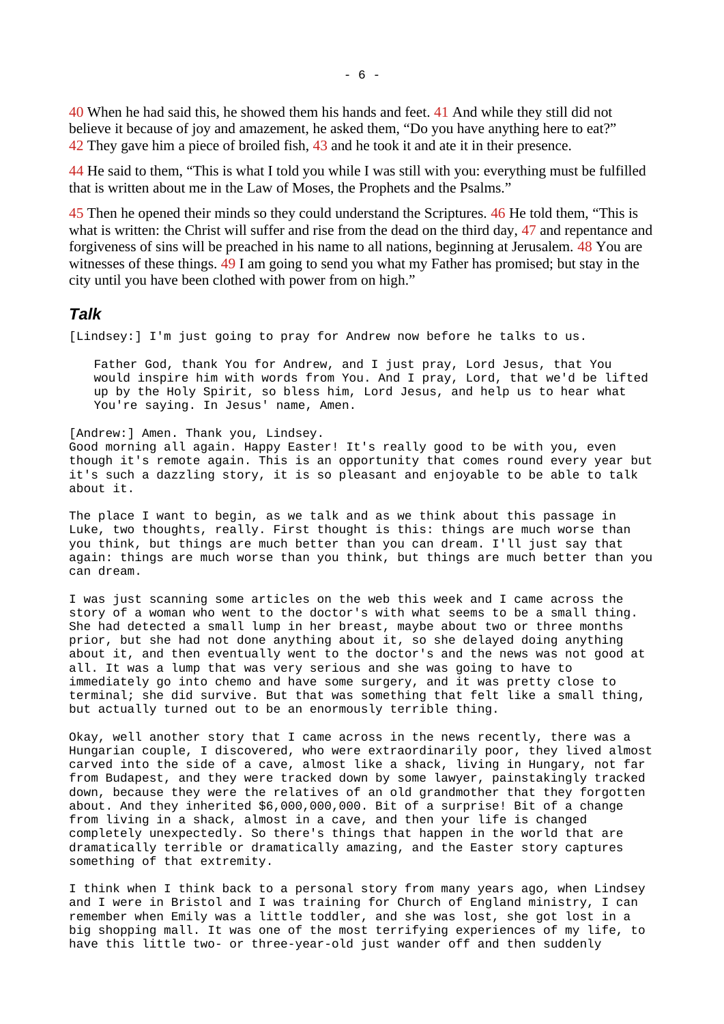40 When he had said this, he showed them his hands and feet. 41 And while they still did not believe it because of joy and amazement, he asked them, "Do you have anything here to eat?" 42 They gave him a piece of broiled fish, 43 and he took it and ate it in their presence.

44 He said to them, "This is what I told you while I was still with you: everything must be fulfilled that is written about me in the Law of Moses, the Prophets and the Psalms."

45 Then he opened their minds so they could understand the Scriptures. 46 He told them, "This is what is written: the Christ will suffer and rise from the dead on the third day, 47 and repentance and forgiveness of sins will be preached in his name to all nations, beginning at Jerusalem. 48 You are witnesses of these things. 49 I am going to send you what my Father has promised; but stay in the city until you have been clothed with power from on high."

## <span id="page-5-0"></span>*Talk*

[Lindsey:] I'm just going to pray for Andrew now before he talks to us.

Father God, thank You for Andrew, and I just pray, Lord Jesus, that You would inspire him with words from You. And I pray, Lord, that we'd be lifted up by the Holy Spirit, so bless him, Lord Jesus, and help us to hear what You're saying. In Jesus' name, Amen.

[Andrew:] Amen. Thank you, Lindsey.

Good morning all again. Happy Easter! It's really good to be with you, even though it's remote again. This is an opportunity that comes round every year but it's such a dazzling story, it is so pleasant and enjoyable to be able to talk about it.

The place I want to begin, as we talk and as we think about this passage in Luke, two thoughts, really. First thought is this: things are much worse than you think, but things are much better than you can dream. I'll just say that again: things are much worse than you think, but things are much better than you can dream.

I was just scanning some articles on the web this week and I came across the story of a woman who went to the doctor's with what seems to be a small thing. She had detected a small lump in her breast, maybe about two or three months prior, but she had not done anything about it, so she delayed doing anything about it, and then eventually went to the doctor's and the news was not good at all. It was a lump that was very serious and she was going to have to immediately go into chemo and have some surgery, and it was pretty close to terminal; she did survive. But that was something that felt like a small thing, but actually turned out to be an enormously terrible thing.

Okay, well another story that I came across in the news recently, there was a Hungarian couple, I discovered, who were extraordinarily poor, they lived almost carved into the side of a cave, almost like a shack, living in Hungary, not far from Budapest, and they were tracked down by some lawyer, painstakingly tracked down, because they were the relatives of an old grandmother that they forgotten about. And they inherited \$6,000,000,000. Bit of a surprise! Bit of a change from living in a shack, almost in a cave, and then your life is changed completely unexpectedly. So there's things that happen in the world that are dramatically terrible or dramatically amazing, and the Easter story captures something of that extremity.

I think when I think back to a personal story from many years ago, when Lindsey and I were in Bristol and I was training for Church of England ministry, I can remember when Emily was a little toddler, and she was lost, she got lost in a big shopping mall. It was one of the most terrifying experiences of my life, to have this little two- or three-year-old just wander off and then suddenly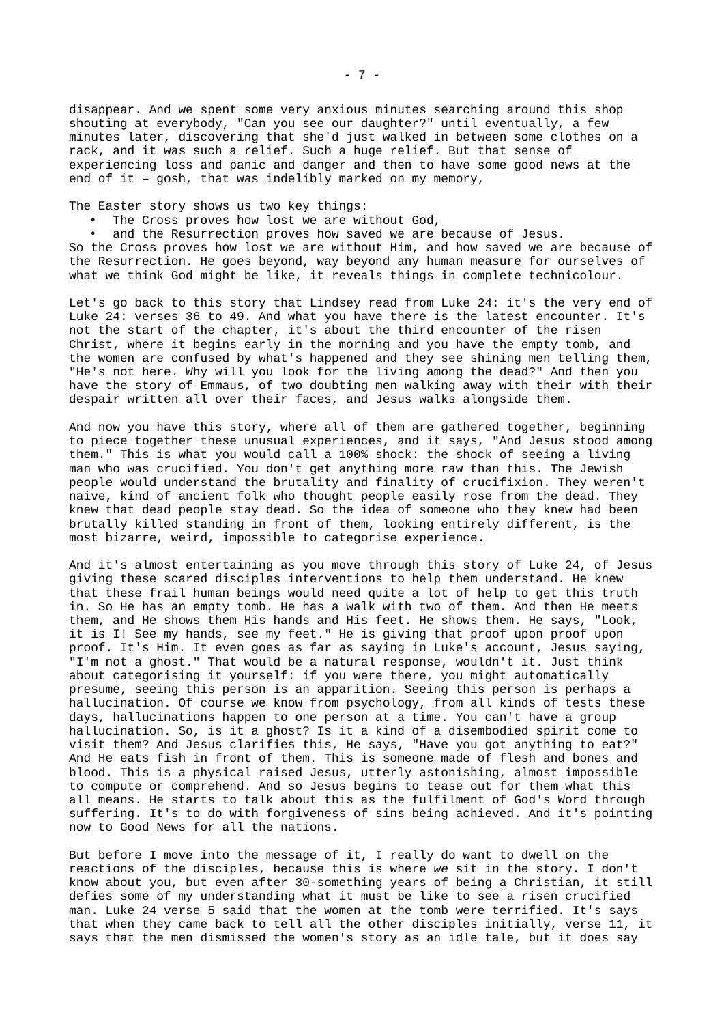disappear. And we spent some very anxious minutes searching around this shop shouting at everybody, "Can you see our daughter?" until eventually, a few minutes later, discovering that she'd just walked in between some clothes on a rack, and it was such a relief. Such a huge relief. But that sense of experiencing loss and panic and danger and then to have some good news at the end of it – gosh, that was indelibly marked on my memory,

The Easter story shows us two key things:

The Cross proves how lost we are without God,

and the Resurrection proves how saved we are because of Jesus. So the Cross proves how lost we are without Him, and how saved we are because of the Resurrection. He goes beyond, way beyond any human measure for ourselves of what we think God might be like, it reveals things in complete technicolour.

Let's go back to this story that Lindsey read from Luke 24: it's the very end of Luke 24: verses 36 to 49. And what you have there is the latest encounter. It's not the start of the chapter, it's about the third encounter of the risen Christ, where it begins early in the morning and you have the empty tomb, and the women are confused by what's happened and they see shining men telling them, "He's not here. Why will you look for the living among the dead?" And then you have the story of Emmaus, of two doubting men walking away with their with their despair written all over their faces, and Jesus walks alongside them.

And now you have this story, where all of them are gathered together, beginning to piece together these unusual experiences, and it says, "And Jesus stood among them." This is what you would call a 100% shock: the shock of seeing a living man who was crucified. You don't get anything more raw than this. The Jewish people would understand the brutality and finality of crucifixion. They weren't naive, kind of ancient folk who thought people easily rose from the dead. They knew that dead people stay dead. So the idea of someone who they knew had been brutally killed standing in front of them, looking entirely different, is the most bizarre, weird, impossible to categorise experience.

And it's almost entertaining as you move through this story of Luke 24, of Jesus giving these scared disciples interventions to help them understand. He knew that these frail human beings would need quite a lot of help to get this truth in. So He has an empty tomb. He has a walk with two of them. And then He meets them, and He shows them His hands and His feet. He shows them. He says, "Look, it is I! See my hands, see my feet." He is giving that proof upon proof upon proof. It's Him. It even goes as far as saying in Luke's account, Jesus saying, "I'm not a ghost." That would be a natural response, wouldn't it. Just think about categorising it yourself: if you were there, you might automatically presume, seeing this person is an apparition. Seeing this person is perhaps a hallucination. Of course we know from psychology, from all kinds of tests these days, hallucinations happen to one person at a time. You can't have a group hallucination. So, is it a ghost? Is it a kind of a disembodied spirit come to visit them? And Jesus clarifies this, He says, "Have you got anything to eat?" And He eats fish in front of them. This is someone made of flesh and bones and blood. This is a physical raised Jesus, utterly astonishing, almost impossible to compute or comprehend. And so Jesus begins to tease out for them what this all means. He starts to talk about this as the fulfilment of God's Word through suffering. It's to do with forgiveness of sins being achieved. And it's pointing now to Good News for all the nations.

But before I move into the message of it, I really do want to dwell on the reactions of the disciples, because this is where *we* sit in the story. I don't know about you, but even after 30-something years of being a Christian, it still defies some of my understanding what it must be like to see a risen crucified man. Luke 24 verse 5 said that the women at the tomb were terrified. It's says that when they came back to tell all the other disciples initially, verse 11, it says that the men dismissed the women's story as an idle tale, but it does say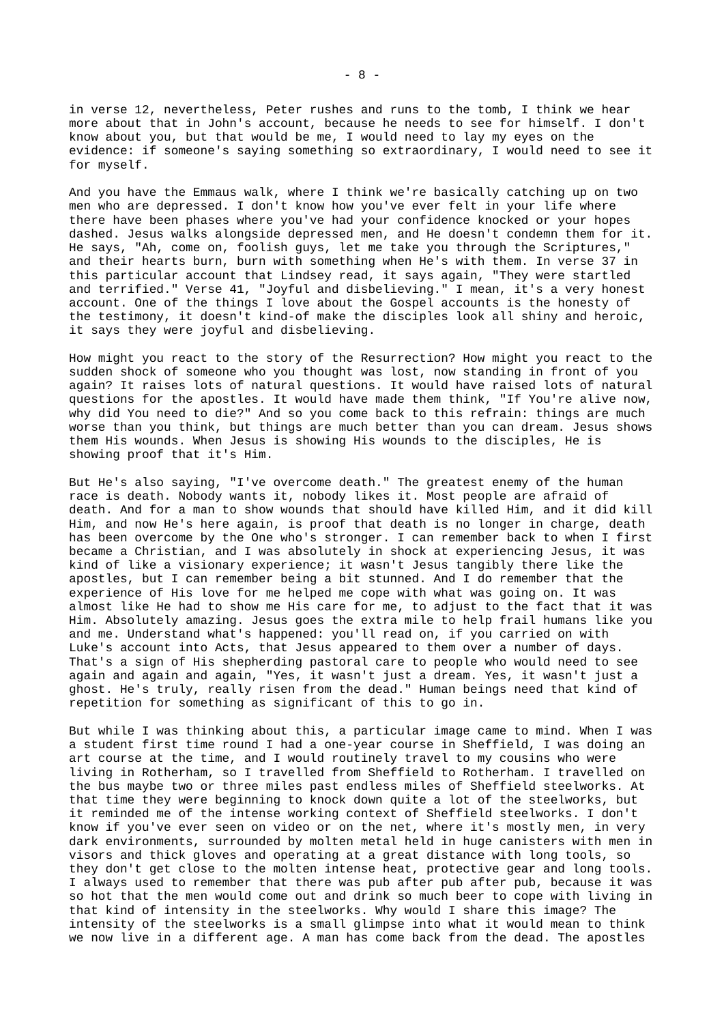in verse 12, nevertheless, Peter rushes and runs to the tomb, I think we hear more about that in John's account, because he needs to see for himself. I don't know about you, but that would be me, I would need to lay my eyes on the evidence: if someone's saying something so extraordinary, I would need to see it for myself.

And you have the Emmaus walk, where I think we're basically catching up on two men who are depressed. I don't know how you've ever felt in your life where there have been phases where you've had your confidence knocked or your hopes dashed. Jesus walks alongside depressed men, and He doesn't condemn them for it. He says, "Ah, come on, foolish guys, let me take you through the Scriptures," and their hearts burn, burn with something when He's with them. In verse 37 in this particular account that Lindsey read, it says again, "They were startled and terrified." Verse 41, "Joyful and disbelieving." I mean, it's a very honest account. One of the things I love about the Gospel accounts is the honesty of the testimony, it doesn't kind-of make the disciples look all shiny and heroic, it says they were joyful and disbelieving.

How might you react to the story of the Resurrection? How might you react to the sudden shock of someone who you thought was lost, now standing in front of you again? It raises lots of natural questions. It would have raised lots of natural questions for the apostles. It would have made them think, "If You're alive now, why did You need to die?" And so you come back to this refrain: things are much worse than you think, but things are much better than you can dream. Jesus shows them His wounds. When Jesus is showing His wounds to the disciples, He is showing proof that it's Him.

But He's also saying, "I've overcome death." The greatest enemy of the human race is death. Nobody wants it, nobody likes it. Most people are afraid of death. And for a man to show wounds that should have killed Him, and it did kill Him, and now He's here again, is proof that death is no longer in charge, death has been overcome by the One who's stronger. I can remember back to when I first became a Christian, and I was absolutely in shock at experiencing Jesus, it was kind of like a visionary experience; it wasn't Jesus tangibly there like the apostles, but I can remember being a bit stunned. And I do remember that the experience of His love for me helped me cope with what was going on. It was almost like He had to show me His care for me, to adjust to the fact that it was Him. Absolutely amazing. Jesus goes the extra mile to help frail humans like you and me. Understand what's happened: you'll read on, if you carried on with Luke's account into Acts, that Jesus appeared to them over a number of days. That's a sign of His shepherding pastoral care to people who would need to see again and again and again, "Yes, it wasn't just a dream. Yes, it wasn't just a ghost. He's truly, really risen from the dead." Human beings need that kind of repetition for something as significant of this to go in.

But while I was thinking about this, a particular image came to mind. When I was a student first time round I had a one-year course in Sheffield, I was doing an art course at the time, and I would routinely travel to my cousins who were living in Rotherham, so I travelled from Sheffield to Rotherham. I travelled on the bus maybe two or three miles past endless miles of Sheffield steelworks. At that time they were beginning to knock down quite a lot of the steelworks, but it reminded me of the intense working context of Sheffield steelworks. I don't know if you've ever seen on video or on the net, where it's mostly men, in very dark environments, surrounded by molten metal held in huge canisters with men in visors and thick gloves and operating at a great distance with long tools, so they don't get close to the molten intense heat, protective gear and long tools. I always used to remember that there was pub after pub after pub, because it was so hot that the men would come out and drink so much beer to cope with living in that kind of intensity in the steelworks. Why would I share this image? The intensity of the steelworks is a small glimpse into what it would mean to think we now live in a different age. A man has come back from the dead. The apostles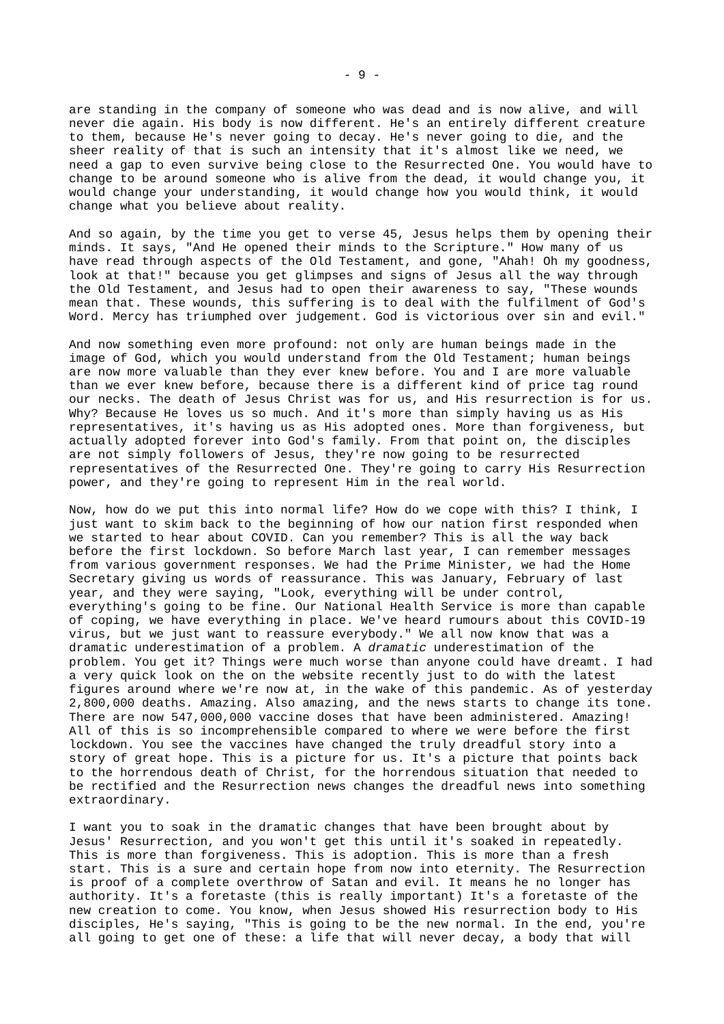are standing in the company of someone who was dead and is now alive, and will never die again. His body is now different. He's an entirely different creature to them, because He's never going to decay. He's never going to die, and the sheer reality of that is such an intensity that it's almost like we need, we need a gap to even survive being close to the Resurrected One. You would have to change to be around someone who is alive from the dead, it would change you, it would change your understanding, it would change how you would think, it would change what you believe about reality.

And so again, by the time you get to verse 45, Jesus helps them by opening their minds. It says, "And He opened their minds to the Scripture." How many of us have read through aspects of the Old Testament, and gone, "Ahah! Oh my goodness, look at that!" because you get glimpses and signs of Jesus all the way through the Old Testament, and Jesus had to open their awareness to say, "These wounds mean that. These wounds, this suffering is to deal with the fulfilment of God's Word. Mercy has triumphed over judgement. God is victorious over sin and evil."

And now something even more profound: not only are human beings made in the image of God, which you would understand from the Old Testament; human beings are now more valuable than they ever knew before. You and I are more valuable than we ever knew before, because there is a different kind of price tag round our necks. The death of Jesus Christ was for us, and His resurrection is for us. Why? Because He loves us so much. And it's more than simply having us as His representatives, it's having us as His adopted ones. More than forgiveness, but actually adopted forever into God's family. From that point on, the disciples are not simply followers of Jesus, they're now going to be resurrected representatives of the Resurrected One. They're going to carry His Resurrection power, and they're going to represent Him in the real world.

Now, how do we put this into normal life? How do we cope with this? I think, I just want to skim back to the beginning of how our nation first responded when we started to hear about COVID. Can you remember? This is all the way back before the first lockdown. So before March last year, I can remember messages from various government responses. We had the Prime Minister, we had the Home Secretary giving us words of reassurance. This was January, February of last year, and they were saying, "Look, everything will be under control, everything's going to be fine. Our National Health Service is more than capable of coping, we have everything in place. We've heard rumours about this COVID-19 virus, but we just want to reassure everybody." We all now know that was a dramatic underestimation of a problem. A *dramatic* underestimation of the problem. You get it? Things were much worse than anyone could have dreamt. I had a very quick look on the on the website recently just to do with the latest figures around where we're now at, in the wake of this pandemic. As of yesterday 2,800,000 deaths. Amazing. Also amazing, and the news starts to change its tone. There are now 547,000,000 vaccine doses that have been administered. Amazing! All of this is so incomprehensible compared to where we were before the first lockdown. You see the vaccines have changed the truly dreadful story into a story of great hope. This is a picture for us. It's a picture that points back to the horrendous death of Christ, for the horrendous situation that needed to be rectified and the Resurrection news changes the dreadful news into something extraordinary.

I want you to soak in the dramatic changes that have been brought about by Jesus' Resurrection, and you won't get this until it's soaked in repeatedly. This is more than forgiveness. This is adoption. This is more than a fresh start. This is a sure and certain hope from now into eternity. The Resurrection is proof of a complete overthrow of Satan and evil. It means he no longer has authority. It's a foretaste (this is really important) It's a foretaste of the new creation to come. You know, when Jesus showed His resurrection body to His disciples, He's saying, "This is going to be the new normal. In the end, you're all going to get one of these: a life that will never decay, a body that will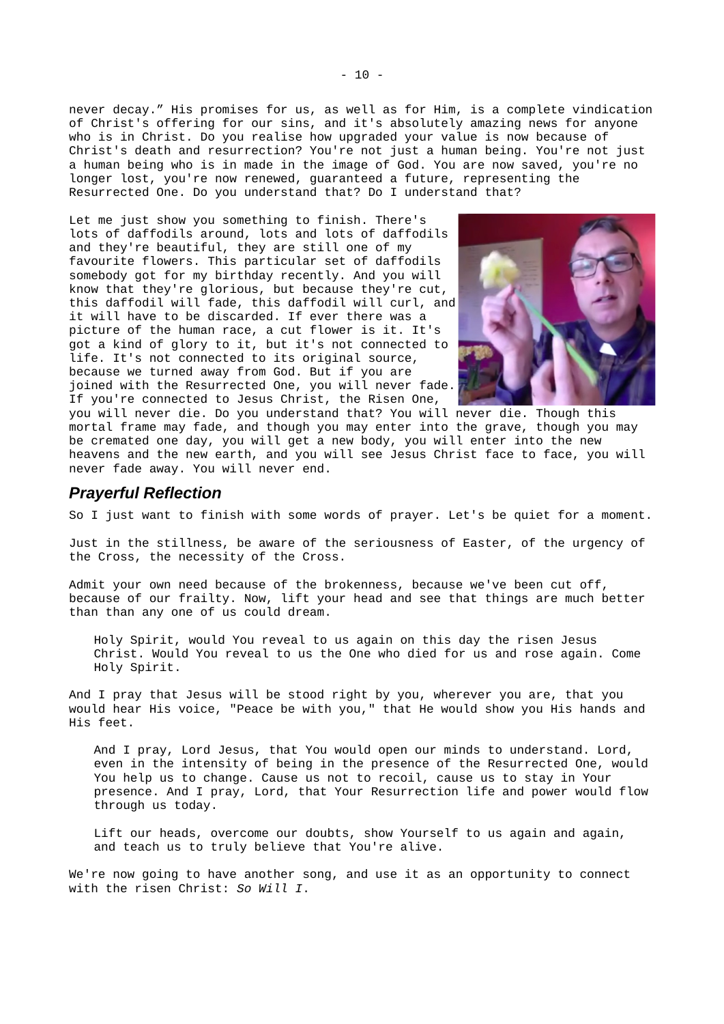never decay." His promises for us, as well as for Him, is a complete vindication of Christ's offering for our sins, and it's absolutely amazing news for anyone who is in Christ. Do you realise how upgraded your value is now because of Christ's death and resurrection? You're not just a human being. You're not just a human being who is in made in the image of God. You are now saved, you're no longer lost, you're now renewed, guaranteed a future, representing the Resurrected One. Do you understand that? Do I understand that?

Let me just show you something to finish. There's lots of daffodils around, lots and lots of daffodils and they're beautiful, they are still one of my favourite flowers. This particular set of daffodils somebody got for my birthday recently. And you will know that they're glorious, but because they're cut, this daffodil will fade, this daffodil will curl, and it will have to be discarded. If ever there was a picture of the human race, a cut flower is it. It's got a kind of glory to it, but it's not connected to life. It's not connected to its original source, because we turned away from God. But if you are joined with the Resurrected One, you will never fade. If you're connected to Jesus Christ, the Risen One,



you will never die. Do you understand that? You will never die. Though this mortal frame may fade, and though you may enter into the grave, though you may be cremated one day, you will get a new body, you will enter into the new heavens and the new earth, and you will see Jesus Christ face to face, you will never fade away. You will never end.

#### <span id="page-9-0"></span>*Prayerful Reflection*

So I just want to finish with some words of prayer. Let's be quiet for a moment.

Just in the stillness, be aware of the seriousness of Easter, of the urgency of the Cross, the necessity of the Cross.

Admit your own need because of the brokenness, because we've been cut off, because of our frailty. Now, lift your head and see that things are much better than than any one of us could dream.

Holy Spirit, would You reveal to us again on this day the risen Jesus Christ. Would You reveal to us the One who died for us and rose again. Come Holy Spirit.

And I pray that Jesus will be stood right by you, wherever you are, that you would hear His voice, "Peace be with you," that He would show you His hands and His feet.

And I pray, Lord Jesus, that You would open our minds to understand. Lord, even in the intensity of being in the presence of the Resurrected One, would You help us to change. Cause us not to recoil, cause us to stay in Your presence. And I pray, Lord, that Your Resurrection life and power would flow through us today.

Lift our heads, overcome our doubts, show Yourself to us again and again, and teach us to truly believe that You're alive.

We're now going to have another song, and use it as an opportunity to connect with the risen Christ: *So Will I*.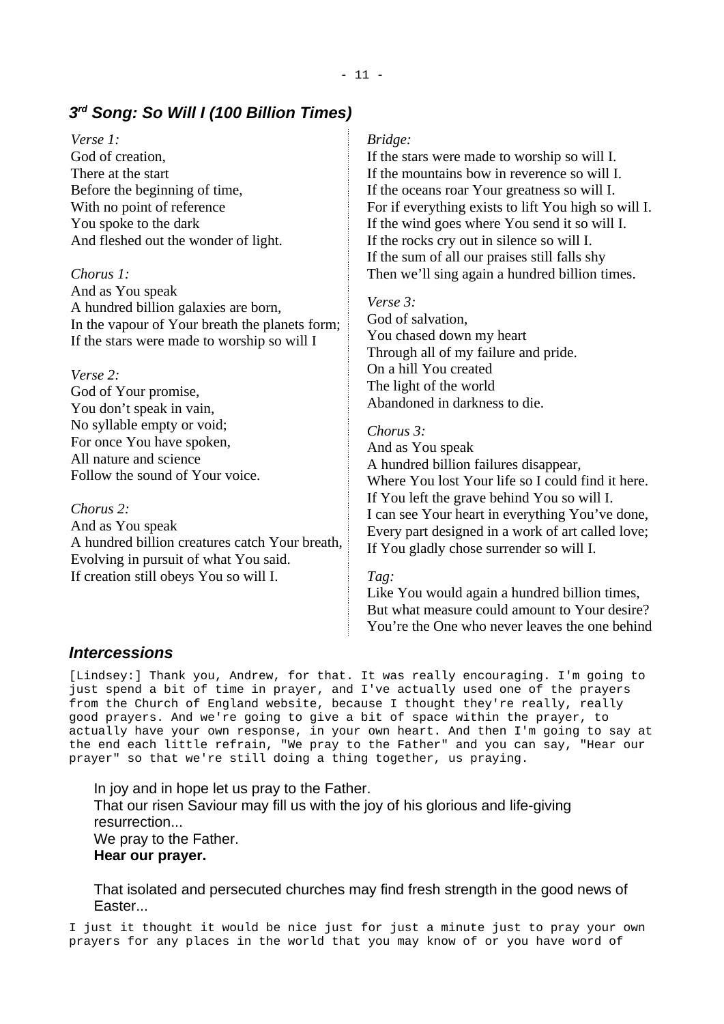# <span id="page-10-1"></span>*3 rd Song: So Will I (100 Billion Times)*

*Verse 1:* God of creation, There at the start Before the beginning of time, With no point of reference You spoke to the dark And fleshed out the wonder of light.

*Chorus 1:* And as You speak A hundred billion galaxies are born, In the vapour of Your breath the planets form; If the stars were made to worship so will I

*Verse 2:* God of Your promise, You don't speak in vain, No syllable empty or void; For once You have spoken, All nature and science Follow the sound of Your voice.

*Chorus 2:* And as You speak A hundred billion creatures catch Your breath, Evolving in pursuit of what You said. If creation still obeys You so will I.

## *Bridge:*

If the stars were made to worship so will I. If the mountains bow in reverence so will I. If the oceans roar Your greatness so will I. For if everything exists to lift You high so will I. If the wind goes where You send it so will I. If the rocks cry out in silence so will I. If the sum of all our praises still falls shy Then we'll sing again a hundred billion times.

*Verse 3:*

God of salvation, You chased down my heart Through all of my failure and pride. On a hill You created The light of the world Abandoned in darkness to die.

*Chorus 3:* And as You speak A hundred billion failures disappear, Where You lost Your life so I could find it here. If You left the grave behind You so will I. I can see Your heart in everything You've done, Every part designed in a work of art called love; If You gladly chose surrender so will I.

## *Tag:*

Like You would again a hundred billion times, But what measure could amount to Your desire? You're the One who never leaves the one behind

# <span id="page-10-0"></span>*Intercessions*

[Lindsey:] Thank you, Andrew, for that. It was really encouraging. I'm going to just spend a bit of time in prayer, and I've actually used one of the prayers from the Church of England website, because I thought they're really, really good prayers. And we're going to give a bit of space within the prayer, to actually have your own response, in your own heart. And then I'm going to say at the end each little refrain, "We pray to the Father" and you can say, "Hear our prayer" so that we're still doing a thing together, us praying.

In joy and in hope let us pray to the Father. That our risen Saviour may fill us with the joy of his glorious and life-giving resurrection... We pray to the Father. **Hear our prayer.** 

That isolated and persecuted churches may find fresh strength in the good news of Easter...

I just it thought it would be nice just for just a minute just to pray your own prayers for any places in the world that you may know of or you have word of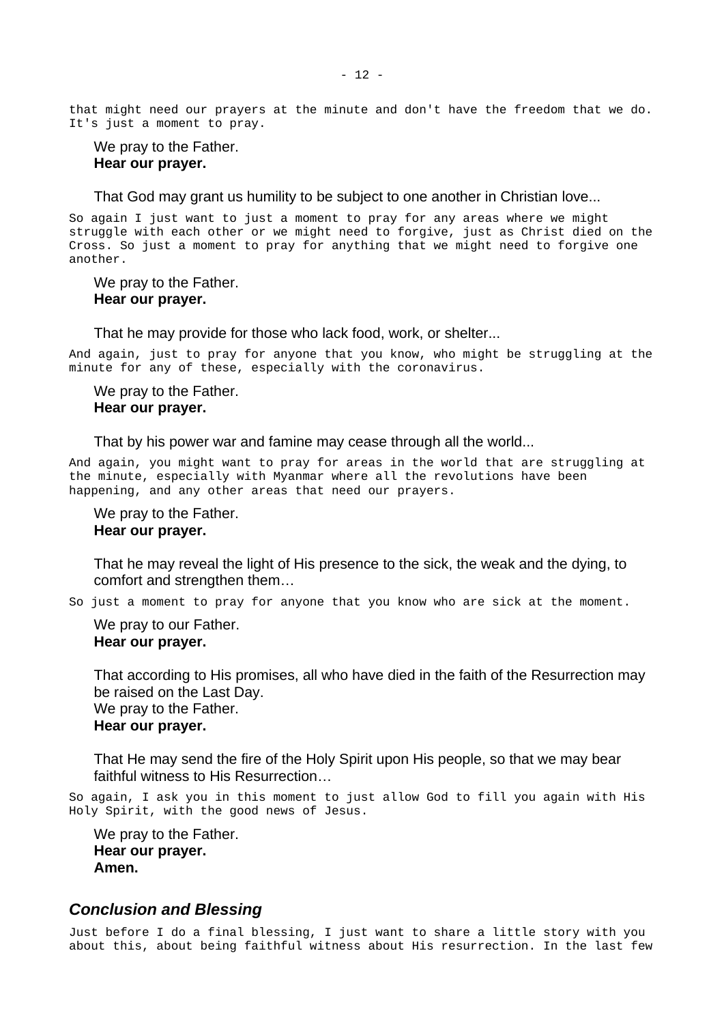that might need our prayers at the minute and don't have the freedom that we do. It's just a moment to pray.

### We pray to the Father. **Hear our prayer.**

That God may grant us humility to be subject to one another in Christian love...

So again I just want to just a moment to pray for any areas where we might struggle with each other or we might need to forgive, just as Christ died on the Cross. So just a moment to pray for anything that we might need to forgive one another.

We pray to the Father. **Hear our prayer.** 

That he may provide for those who lack food, work, or shelter...

And again, just to pray for anyone that you know, who might be struggling at the minute for any of these, especially with the coronavirus.

We pray to the Father. **Hear our prayer.** 

That by his power war and famine may cease through all the world...

And again, you might want to pray for areas in the world that are struggling at the minute, especially with Myanmar where all the revolutions have been happening, and any other areas that need our prayers.

We pray to the Father. **Hear our prayer.** 

That he may reveal the light of His presence to the sick, the weak and the dying, to comfort and strengthen them...

So just a moment to pray for anyone that you know who are sick at the moment.

We pray to our Father. **Hear our prayer.** 

That according to His promises, all who have died in the faith of the Resurrection may be raised on the Last Day. We pray to the Father. **Hear our prayer.** 

That He may send the fire of the Holy Spirit upon His people, so that we may bear faithful witness to His Resurrection…

So again, I ask you in this moment to just allow God to fill you again with His Holy Spirit, with the good news of Jesus.

We pray to the Father. **Hear our prayer. Amen.** 

### <span id="page-11-0"></span>*Conclusion and Blessing*

Just before I do a final blessing, I just want to share a little story with you about this, about being faithful witness about His resurrection. In the last few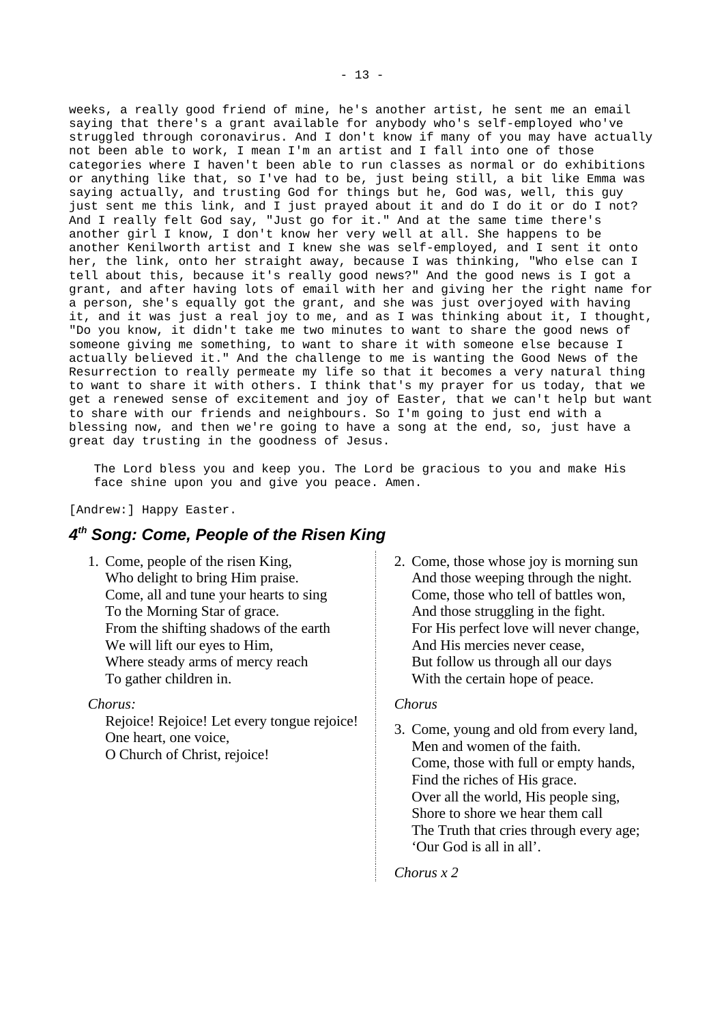weeks, a really good friend of mine, he's another artist, he sent me an email saying that there's a grant available for anybody who's self-employed who've struggled through coronavirus. And I don't know if many of you may have actually not been able to work, I mean I'm an artist and I fall into one of those categories where I haven't been able to run classes as normal or do exhibitions or anything like that, so I've had to be, just being still, a bit like Emma was saying actually, and trusting God for things but he, God was, well, this guy just sent me this link, and I just prayed about it and do I do it or do I not? And I really felt God say, "Just go for it." And at the same time there's another girl I know, I don't know her very well at all. She happens to be another Kenilworth artist and I knew she was self-employed, and I sent it onto her, the link, onto her straight away, because I was thinking, "Who else can I tell about this, because it's really good news?" And the good news is I got a grant, and after having lots of email with her and giving her the right name for a person, she's equally got the grant, and she was just overjoyed with having it, and it was just a real joy to me, and as I was thinking about it, I thought, "Do you know, it didn't take me two minutes to want to share the good news of someone giving me something, to want to share it with someone else because I actually believed it." And the challenge to me is wanting the Good News of the Resurrection to really permeate my life so that it becomes a very natural thing to want to share it with others. I think that's my prayer for us today, that we get a renewed sense of excitement and joy of Easter, that we can't help but want to share with our friends and neighbours. So I'm going to just end with a blessing now, and then we're going to have a song at the end, so, just have a great day trusting in the goodness of Jesus.

The Lord bless you and keep you. The Lord be gracious to you and make His face shine upon you and give you peace. Amen.

[Andrew:] Happy Easter.

# <span id="page-12-0"></span>*4 th Song: Come, People of the Risen King*

1. Come, people of the risen King, Who delight to bring Him praise. Come, all and tune your hearts to sing To the Morning Star of grace. From the shifting shadows of the earth We will lift our eyes to Him, Where steady arms of mercy reach To gather children in.

*Chorus:*

Rejoice! Rejoice! Let every tongue rejoice! One heart, one voice, O Church of Christ, rejoice!

2. Come, those whose joy is morning sun And those weeping through the night. Come, those who tell of battles won, And those struggling in the fight. For His perfect love will never change, And His mercies never cease, But follow us through all our days With the certain hope of peace.

#### *Chorus*

3. Come, young and old from every land, Men and women of the faith. Come, those with full or empty hands, Find the riches of His grace. Over all the world, His people sing, Shore to shore we hear them call The Truth that cries through every age; 'Our God is all in all'.

*Chorus x 2*